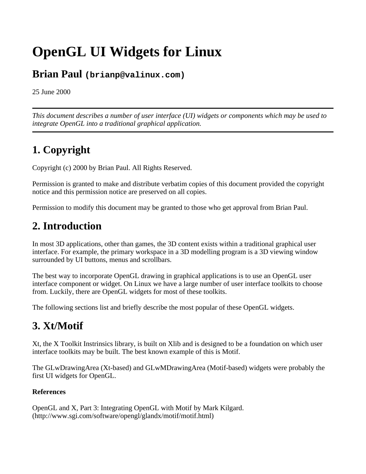# **OpenGL UI Widgets for Linux**

### **Brian Paul (brianp@valinux.com)**

25 June 2000

*This document describes a number of user interface (UI) widgets or components which may be used to integrate OpenGL into a traditional graphical application.* 

# **1. Copyright**

Copyright (c) 2000 by Brian Paul. All Rights Reserved.

Permission is granted to make and distribute verbatim copies of this document provided the copyright notice and this permission notice are preserved on all copies.

Permission to modify this document may be granted to those who get approval from Brian Paul.

### **2. Introduction**

In most 3D applications, other than games, the 3D content exists within a traditional graphical user interface. For example, the primary workspace in a 3D modelling program is a 3D viewing window surrounded by UI buttons, menus and scrollbars.

The best way to incorporate OpenGL drawing in graphical applications is to use an OpenGL user interface component or widget. On Linux we have a large number of user interface toolkits to choose from. Luckily, there are OpenGL widgets for most of these toolkits.

The following sections list and briefly describe the most popular of these OpenGL widgets.

### **3. Xt/Motif**

Xt, the X Toolkit Instrinsics library, is built on Xlib and is designed to be a foundation on which user interface toolkits may be built. The best known example of this is Motif.

The GLwDrawingArea (Xt-based) and GLwMDrawingArea (Motif-based) widgets were probably the first UI widgets for OpenGL.

#### **References**

OpenGL and X, Part 3: Integrating OpenGL with Motif by Mark Kilgard. (http://www.sgi.com/software/opengl/glandx/motif/motif.html)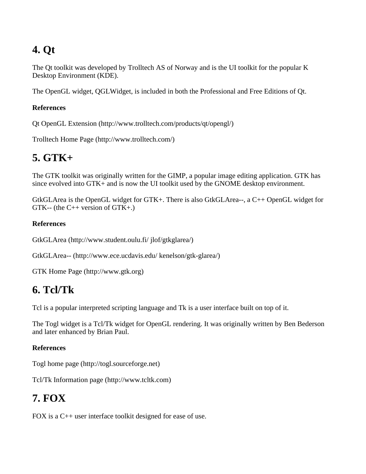## **4. Qt**

The Qt toolkit was developed by Trolltech AS of Norway and is the UI toolkit for the popular K Desktop Environment (KDE).

The OpenGL widget, QGLWidget, is included in both the Professional and Free Editions of Qt.

#### **References**

Qt OpenGL Extension (http://www.trolltech.com/products/qt/opengl/)

Trolltech Home Page (http://www.trolltech.com/)

### **5. GTK+**

The GTK toolkit was originally written for the GIMP, a popular image editing application. GTK has since evolved into GTK+ and is now the UI toolkit used by the GNOME desktop environment.

GtkGLArea is the OpenGL widget for GTK+. There is also GtkGLArea--, a C++ OpenGL widget for GTK-- (the C++ version of GTK+.)

#### **References**

GtkGLArea (http://www.student.oulu.fi/ jlof/gtkglarea/)

GtkGLArea-- (http://www.ece.ucdavis.edu/ kenelson/gtk-glarea/)

```
GTK Home Page (http://www.gtk.org)
```
### **6. Tcl/Tk**

Tcl is a popular interpreted scripting language and Tk is a user interface built on top of it.

The Togl widget is a Tcl/Tk widget for OpenGL rendering. It was originally written by Ben Bederson and later enhanced by Brian Paul.

#### **References**

Togl home page (http://togl.sourceforge.net)

Tcl/Tk Information page (http://www.tcltk.com)

### **7. FOX**

FOX is a C++ user interface toolkit designed for ease of use.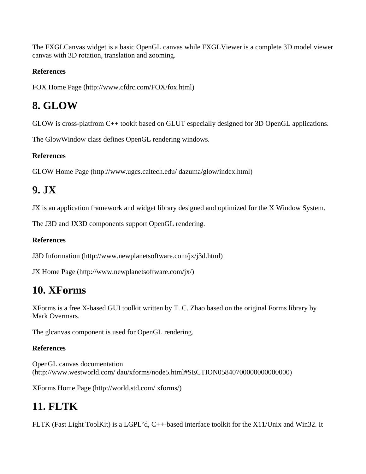The FXGLCanvas widget is a basic OpenGL canvas while FXGLViewer is a complete 3D model viewer canvas with 3D rotation, translation and zooming.

#### **References**

FOX Home Page (http://www.cfdrc.com/FOX/fox.html)

### **8. GLOW**

GLOW is cross-platfrom C++ tookit based on GLUT especially designed for 3D OpenGL applications.

The GlowWindow class defines OpenGL rendering windows.

#### **References**

GLOW Home Page (http://www.ugcs.caltech.edu/ dazuma/glow/index.html)

### **9. JX**

JX is an application framework and widget library designed and optimized for the X Window System.

The J3D and JX3D components support OpenGL rendering.

#### **References**

J3D Information (http://www.newplanetsoftware.com/jx/j3d.html)

JX Home Page (http://www.newplanetsoftware.com/jx/)

### **10. XForms**

XForms is a free X-based GUI toolkit written by T. C. Zhao based on the original Forms library by Mark Overmars.

The glcanvas component is used for OpenGL rendering.

#### **References**

OpenGL canvas documentation (http://www.westworld.com/ dau/xforms/node5.html#SECTION05840700000000000000)

XForms Home Page (http://world.std.com/ xforms/)

# **11. FLTK**

FLTK (Fast Light ToolKit) is a LGPL'd, C++-based interface toolkit for the X11/Unix and Win32. It